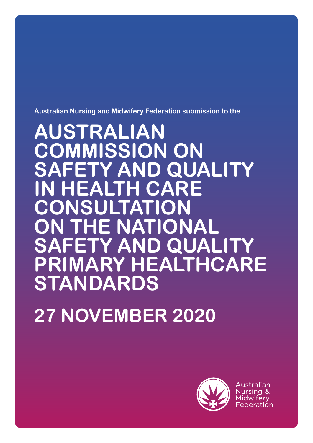**Australian Nursing and Midwifery Federation submission to the**

**AUSTRALIAN COMMISSION ON SAFETY AND QUALITY IN HEALTH CARE CONSULTATION E NATIONAL SAFETY AND QUALITY PRIMARY HEALTHCARE STANDARDS** 

**27 NOVEMBER 2020**



Australian Nursing & Midwiferv Federation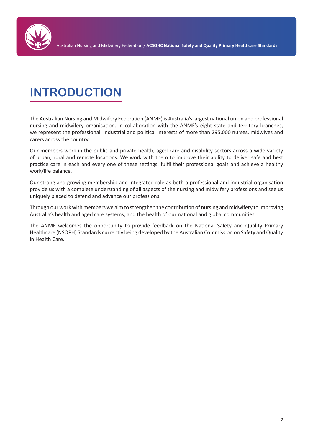

Australian Nursing and Midwifery Federation / **ACSQHC National Safety and Quality Primary Healthcare Standards**

# **INTRODUCTION**

The Australian Nursing and Midwifery Federation (ANMF) is Australia's largest national union and professional nursing and midwifery organisation. In collaboration with the ANMF's eight state and territory branches, we represent the professional, industrial and political interests of more than 295,000 nurses, midwives and carers across the country.

Our members work in the public and private health, aged care and disability sectors across a wide variety of urban, rural and remote locations. We work with them to improve their ability to deliver safe and best practice care in each and every one of these settings, fulfil their professional goals and achieve a healthy work/life balance.

Our strong and growing membership and integrated role as both a professional and industrial organisation provide us with a complete understanding of all aspects of the nursing and midwifery professions and see us uniquely placed to defend and advance our professions.

Through our work with members we aim to strengthen the contribution of nursing and midwifery to improving Australia's health and aged care systems, and the health of our national and global communities.

The ANMF welcomes the opportunity to provide feedback on the National Safety and Quality Primary Healthcare (NSQPH) Standards currently being developed by the Australian Commission on Safety and Quality in Health Care.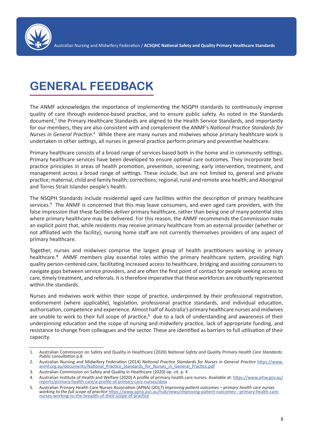

## **GENERAL FEEDBACK**

The ANMF acknowledges the importance of implementing the NSQPH standards to continuously improve quality of care through evidence-based practice, and to ensure public safety. As noted in the Standards document,<sup>1</sup> the Primary Healthcare Standards are aligned to the Health Service Standards, and importantly for our members, they are also consistent with and complement the ANMF's *National Practice Standards for Nurses in General Practice.*² While there are many nurses and midwives whose primary healthcare work is undertaken in other settings, all nurses in general practice perform primary and preventive healthcare.

Primary healthcare consists of a broad range of services based both in the home and in community settings. Primary healthcare services have been developed to ensure optimal care outcomes. They incorporate best practice principles in areas of health promotion, prevention, screening, early intervention, treatment, and management across a broad range of settings. These include, but are not limited to, general and private practice; maternal, child and family health; corrections; regional, rural and remote area health; and Aboriginal and Torres Strait Islander people's health.

The NSQPH Standards include residential aged care facilities within the description of primary healthcare services.<sup>3</sup> The ANMF is concerned that this may leave consumers, and even aged care providers, with the false impression that these facilities *deliver* primary healthcare, rather than being one of many potential sites where primary healthcare may be delivered. For this reason, the ANMF recommends the Commission make an explicit point that, while residents may receive primary healthcare from an external provider (whether or not affiliated with the facility), nursing home staff are not currently themselves providers of any aspect of primary healthcare.

Together, nurses and midwives comprise the largest group of health practitioners working in primary healthcare.<sup>4</sup> ANMF members play essential roles within the primary healthcare system, providing high quality person-centered care, facilitating increased access to healthcare, bridging and assisting consumers to navigate gaps between service providers, and are often the first point of contact for people seeking access to care, timely treatment, and referrals. It is therefore imperative that these workforces are robustly represented within the standards.

Nurses and midwives work within their scope of practice, underpinned by their professional registration, endorsement (where applicable), legislation, professional practice standards, and individual education, authorisation, competence and experience. Almost half of Australia's primary healthcare nurses and midwives are unable to work to their full scope of practice,<sup>5</sup> due to a lack of understanding and awareness of their underpinning education and the scope of nursing and midwifery practice, lack of appropriate funding, and resistance to change from colleagues and the sector. These are identified as barriers to full utilisation of their capacity.

<sup>1.</sup> Australian Commission on Safety and Quality in Healthcare (2020) *National Safety and Quality Primary Health Care Standards: Public consultation* p.8

<sup>2.</sup> Australian Nursing and Midwifery Federation (2014) *National Practice Standards for Nurses in General Practice* https://www. anmf.org.au/documents/National Practice Standards for Nurses\_in\_General\_Practice.pdf

<sup>3.</sup> Australian Commission on Safety and Quality in Healthcare (2020) op. cit. p. 4 Australian Institute of Health and Welfare (2020) A profile of primary health care nurses. Available at: https://www.aihw.gov.au/ reports/primary-health-care/a-profile-of-primary-care-nurses/data

<sup>5.</sup> Australian Primary Health Care Nurses Association (APNA) (2017) I*mproving patient outcomes – primary health care nurses working to the full scope of practice* https://www.apna.asn.au/hub/news/improving-patient-outcomes---primary-health-carenurses-working-to-the-breadth-of-their-scope-of-practice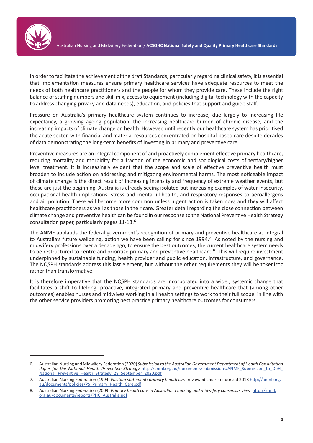

In order to facilitate the achievement of the draft Standards, particularly regarding clinical safety, it is essential that implementation measures ensure primary healthcare services have adequate resources to meet the needs of both healthcare practitioners and the people for whom they provide care. These include the right balance of staffing numbers and skill mix, access to equipment (including digital technology with the capacity to address changing privacy and data needs), education, and policies that support and guide staff.

Pressure on Australia's primary healthcare system continues to increase, due largely to increasing life expectancy, a growing ageing population, the increasing healthcare burden of chronic disease, and the increasing impacts of climate change on health. However, until recently our healthcare system has prioritised the acute sector, with financial and material resources concentrated on hospital-based care despite decades of data demonstrating the long-term benefits of investing in primary and preventive care.

Preventive measures are an integral component of and proactively complement effective primary healthcare, reducing mortality and morbidity for a fraction of the economic and sociological costs of tertiary/higher level treatment. It is increasingly evident that the scope and scale of effective preventive health must broaden to include action on addressing and mitigating environmental harms. The most noticeable impact of climate change is the direct result of increasing intensity and frequency of extreme weather events, but these are just the beginning. Australia is already seeing isolated but increasing examples of water insecurity, occupational health implications, stress and mental ill-health, and respiratory responses to aeroallergens and air pollution. These will become more common unless urgent action is taken now, and they will affect healthcare practitioners as well as those in their care. Greater detail regarding the close connection between climate change and preventive health can be found in our response to the National Preventive Health Strategy consultation paper, particularly pages 11-13.<sup>6</sup>

The ANMF applauds the federal government's recognition of primary and preventive healthcare as integral to Australia's future wellbeing, action we have been calling for since 1994.<sup>7</sup> As noted by the nursing and midwifery professions over a decade ago, to ensure the best outcomes, the current healthcare system needs to be restructured to centre and prioritise primary and preventive healthcare.<sup>8</sup> This will require investment underpinned by sustainable funding, health provider and public education, infrastructure, and governance. The NQSPH standards address this last element, but without the other requirements they will be tokenistic rather than transformative.

It is therefore imperative that the NQSPH standards are incorporated into a wider, systemic change that facilitates a shift to lifelong, proactive, integrated primary and preventive healthcare that (among other outcomes) enables nurses and midwives working in all health settings to work to their full scope, in line with the other service providers promoting best practice primary healthcare outcomes for consumers.

<sup>6.</sup> Australian Nursing and Midwifery Federation (2020) *Submission to the Australian Government Department of Health Consultation Paper for the National Health Preventive Strategy* http://anmf.org.au/documents/submissions/ANMF\_Submission\_to\_DoH\_ National\_Preventive\_Health\_Strategy\_28\_September\_2020.pdf

<sup>7.</sup> Australian Nursing Federation (1994) *Position statement: primary health care* reviewed and re-endorsed 2018 http://anmf.org. au/documents/policies/PS\_Primary\_Health\_Care.pdf

<sup>8.</sup> Australian Nursing Federation (2009) *Primary health care in Australia: a nursing and midwifery consensus view* http://anmf. org.au/documents/reports/PHC\_Australia.pdf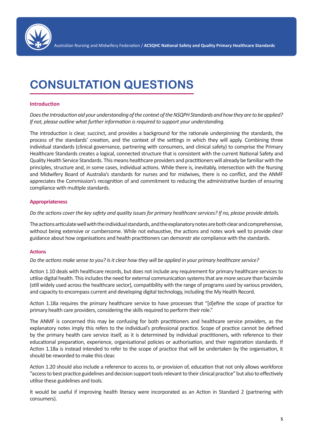

# **CONSULTATION QUESTIONS**

### **Introduction**

*Does the Introduction aid your understanding of the context of the NSQPH Standards and how they are to be applied? If not, please outline what further information is required to support your understanding.*

The introduction is clear, succinct, and provides a background for the rationale underpinning the standards, the process of the standards' creation, and the context of the settings in which they will apply. Combining three individual standards (clinical governance, partnering with consumers, and clinical safety) to comprise the Primary Healthcare Standards creates a logical, connected structure that is consistent with the current National Safety and Quality Health Service Standards. This means healthcare providers and practitioners will already be familiar with the principles, structure and, in some cases, individual actions. While there is, inevitably, intersection with the Nursing and Midwifery Board of Australia's standards for nurses and for midwives, there is no conflict, and the ANMF appreciates the Commission's recognition of and commitment to reducing the administrative burden of ensuring compliance with multiple standards.

#### **Appropriateness**

*Do the actions cover the key safety and quality issues for primary healthcare services? If no, please provide details.*

The actions articulate well with the individual standards, and the explanatory notes are both clear and comprehensive, without being extensive or cumbersome. While not exhaustive, the actions and notes work well to provide clear guidance about how organisations and health practitioners can demonstr ate compliance with the standards.

#### **Actions**

*Do the actions make sense to you? Is it clear how they will be applied in your primary healthcare service?*

Action 1.10 deals with healthcare records, but does not include any requirement for primary healthcare services to utilise digital health. This includes the need for external communication systems that are more secure than facsimile (still widely used across the healthcare sector), compatibility with the range of programs used by various providers, and capacity to encompass current and developing digital technology, including the My Health Record.

Action 1.18a requires the primary healthcare service to have processes that "[d]efine the scope of practice for primary health care providers, considering the skills required to perform their role."

The ANMF is concerned this may be confusing for both practitioners and healthcare service providers, as the explanatory notes imply this refers to the individual's professional practice. Scope of practice cannot be defined by the primary health care service itself, as it is determined by individual practitioners, with reference to their educational preparation, experience, organisational policies or authorisation, and their registration standards. If Action 1.18a is instead intended to refer to the scope of practice that will be undertaken by the organisation, it should be reworded to make this clear.

Action 1.20 should also include a reference to access to, or provision of, education that not only allows workforce "access to best practice guidelines and decision support tools relevant to their clinical practice" but also to effectively utilise these guidelines and tools.

It would be useful if improving health literacy were incorporated as an Action in Standard 2 (partnering with consumers).